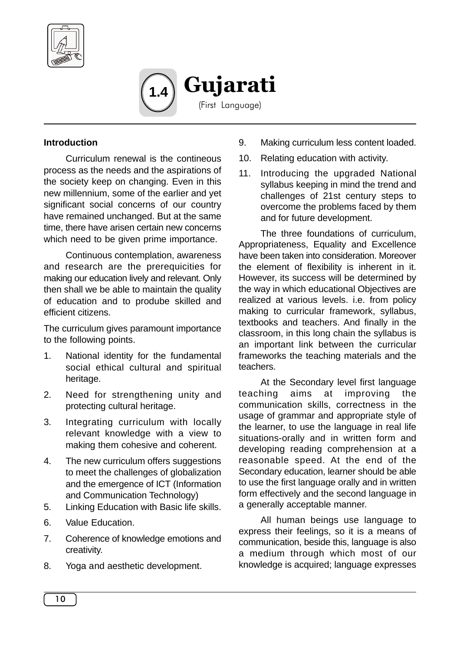

Gujarati (First Language) **1.4**

#### **Introduction**

Curriculum renewal is the contineous process as the needs and the aspirations of the society keep on changing. Even in this new millennium, some of the earlier and yet significant social concerns of our country have remained unchanged. But at the same time, there have arisen certain new concerns which need to be given prime importance.

Continuous contemplation, awareness and research are the prerequicities for making our education lively and relevant. Only then shall we be able to maintain the quality of education and to prodube skilled and efficient citizens.

The curriculum gives paramount importance to the following points.

- 1. National identity for the fundamental social ethical cultural and spiritual heritage.
- 2. Need for strengthening unity and protecting cultural heritage.
- 3. Integrating curriculum with locally relevant knowledge with a view to making them cohesive and coherent.
- 4. The new curriculum offers suggestions to meet the challenges of globalization and the emergence of ICT (Information and Communication Technology)
- 5. Linking Education with Basic life skills.
- 6. Value Education.
- 7. Coherence of knowledge emotions and creativity.
- 8. Yoga and aesthetic development.
- 9. Making curriculum less content loaded.
- 10. Relating education with activity.
- 11. Introducing the upgraded National syllabus keeping in mind the trend and challenges of 21st century steps to overcome the problems faced by them and for future development.

The three foundations of curriculum, Appropriateness, Equality and Excellence have been taken into consideration. Moreover the element of flexibility is inherent in it. However, its success will be determined by the way in which educational Objectives are realized at various levels. i.e. from policy making to curricular framework, syllabus, textbooks and teachers. And finally in the classroom, in this long chain the syllabus is an important link between the curricular frameworks the teaching materials and the teachers.

At the Secondary level first language teaching aims at improving the communication skills, correctness in the usage of grammar and appropriate style of the learner, to use the language in real life situations-orally and in written form and developing reading comprehension at a reasonable speed. At the end of the Secondary education, learner should be able to use the first language orally and in written form effectively and the second language in a generally acceptable manner.

All human beings use language to express their feelings, so it is a means of communication, beside this, language is also a medium through which most of our knowledge is acquired; language expresses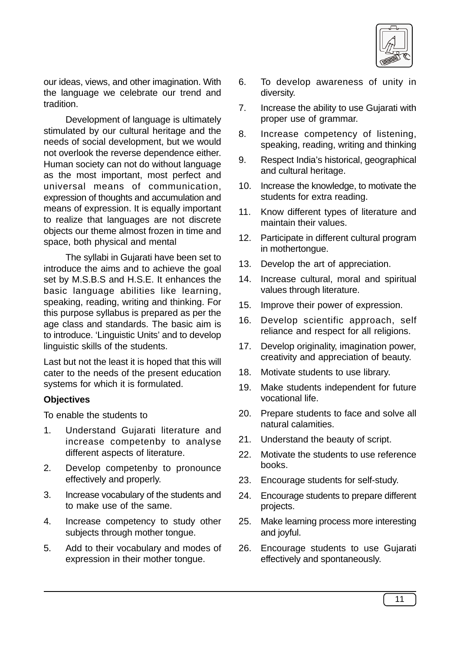

our ideas, views, and other imagination. With the language we celebrate our trend and tradition.

Development of language is ultimately stimulated by our cultural heritage and the needs of social development, but we would not overlook the reverse dependence either. Human society can not do without language as the most important, most perfect and universal means of communication, expression of thoughts and accumulation and means of expression. It is equally important to realize that languages are not discrete objects our theme almost frozen in time and space, both physical and mental

The syllabi in Gujarati have been set to introduce the aims and to achieve the goal set by M.S.B.S and H.S.E. It enhances the basic language abilities like learning, speaking, reading, writing and thinking. For this purpose syllabus is prepared as per the age class and standards. The basic aim is to introduce. 'Linguistic Units' and to develop linguistic skills of the students.

Last but not the least it is hoped that this will cater to the needs of the present education systems for which it is formulated.

#### **Objectives**

To enable the students to

- 1. Understand Gujarati literature and increase competenby to analyse different aspects of literature.
- 2. Develop competenby to pronounce effectively and properly.
- 3. Increase vocabulary of the students and to make use of the same.
- 4. Increase competency to study other subjects through mother tongue.
- 5. Add to their vocabulary and modes of expression in their mother tongue.
- 6. To develop awareness of unity in diversity.
- 7. Increase the ability to use Gujarati with proper use of grammar.
- 8. Increase competency of listening, speaking, reading, writing and thinking
- 9. Respect India's historical, geographical and cultural heritage.
- 10. Increase the knowledge, to motivate the students for extra reading.
- 11. Know different types of literature and maintain their values.
- 12. Participate in different cultural program in mothertongue.
- 13. Develop the art of appreciation.
- 14. Increase cultural, moral and spiritual values through literature.
- 15. Improve their power of expression.
- 16. Develop scientific approach, self reliance and respect for all religions.
- 17. Develop originality, imagination power, creativity and appreciation of beauty.
- 18. Motivate students to use library.
- 19. Make students independent for future vocational life.
- 20. Prepare students to face and solve all natural calamities.
- 21. Understand the beauty of script.
- 22. Motivate the students to use reference books.
- 23. Encourage students for self-study.
- 24. Encourage students to prepare different projects.
- 25. Make learning process more interesting and joyful.
- 26. Encourage students to use Gujarati effectively and spontaneously.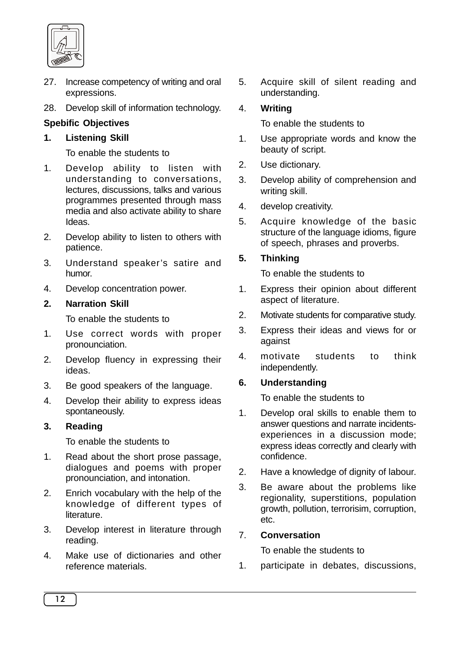

- 27. Increase competency of writing and oral expressions.
- 28. Develop skill of information technology.

# **Spebific Objectives**

#### **1. Listening Skill**

To enable the students to

- 1. Develop ability to listen with understanding to conversations, lectures, discussions, talks and various programmes presented through mass media and also activate ability to share Ideas.
- 2. Develop ability to listen to others with patience.
- 3. Understand speaker's satire and humor.
- 4. Develop concentration power.

#### **2. Narration Skill**

To enable the students to

- 1. Use correct words with proper pronounciation.
- 2. Develop fluency in expressing their ideas.
- 3. Be good speakers of the language.
- 4. Develop their ability to express ideas spontaneously.

#### **3. Reading**

To enable the students to

- 1. Read about the short prose passage, dialogues and poems with proper pronounciation, and intonation.
- 2. Enrich vocabulary with the help of the knowledge of different types of literature.
- 3. Develop interest in literature through reading.
- 4. Make use of dictionaries and other reference materials.

5. Acquire skill of silent reading and understanding.

### 4. **Writing**

To enable the students to

- 1. Use appropriate words and know the beauty of script.
- 2. Use dictionary.
- 3. Develop ability of comprehension and writing skill.
- 4. develop creativity.
- 5. Acquire knowledge of the basic structure of the language idioms, figure of speech, phrases and proverbs.

### **5. Thinking**

To enable the students to

- 1. Express their opinion about different aspect of literature.
- 2. Motivate students for comparative study.
- 3. Express their ideas and views for or against
- 4. motivate students to think independently.

# **6. Understanding**

To enable the students to

- 1. Develop oral skills to enable them to answer questions and narrate incidentsexperiences in a discussion mode; express ideas correctly and clearly with confidence.
- 2. Have a knowledge of dignity of labour.
- 3. Be aware about the problems like regionality, superstitions, population growth, pollution, terrorisim, corruption, etc.

# 7. **Conversation**

To enable the students to

1. participate in debates, discussions,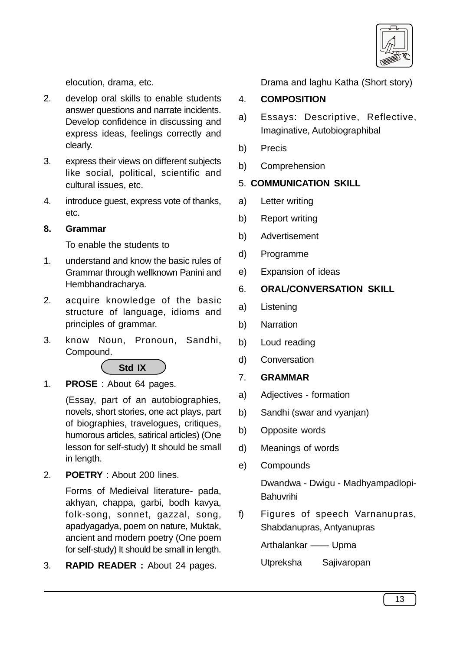

elocution, drama, etc.

- 2. develop oral skills to enable students answer questions and narrate incidents. Develop confidence in discussing and express ideas, feelings correctly and clearly.
- 3. express their views on different subjects like social, political, scientific and cultural issues, etc.
- 4. introduce guest, express vote of thanks, etc.

# **8. Grammar**

To enable the students to

- 1. understand and know the basic rules of Grammar through wellknown Panini and Hembhandracharya.
- 2. acquire knowledge of the basic structure of language, idioms and principles of grammar.
- 3. know Noun, Pronoun, Sandhi, Compound.



1. **PROSE** : About 64 pages.

(Essay, part of an autobiographies, novels, short stories, one act plays, part of biographies, travelogues, critiques, humorous articles, satirical articles) (One lesson for self-study) It should be small in length.

2. **POETRY** : About 200 lines.

Forms of Medieival literature- pada, akhyan, chappa, garbi, bodh kavya, folk-song, sonnet, gazzal, song, apadyagadya, poem on nature, Muktak, ancient and modern poetry (One poem for self-study) It should be small in length.

3. **RAPID READER :** About 24 pages.

Drama and laghu Katha (Short story)

# 4. **COMPOSITION**

- a) Essays: Descriptive, Reflective, Imaginative, Autobiographibal
- b) Precis
- b) Comprehension

# 5. **COMMUNICATION SKILL**

- a) Letter writing
- b) Report writing
- b) Advertisement
- d) Programme
- e) Expansion of ideas

# 6. **ORAL/CONVERSATION SKILL**

- a) Listening
- b) Narration
- b) Loud reading
- d) Conversation
- 7. **GRAMMAR**
- a) Adjectives formation
- b) Sandhi (swar and vyanjan)
- b) Opposite words
- d) Meanings of words
- e) Compounds

Dwandwa - Dwigu - Madhyampadlopi-Bahuvrihi

f) Figures of speech Varnanupras, Shabdanupras, Antyanupras

Arthalankar —— Upma

Utpreksha Sajivaropan